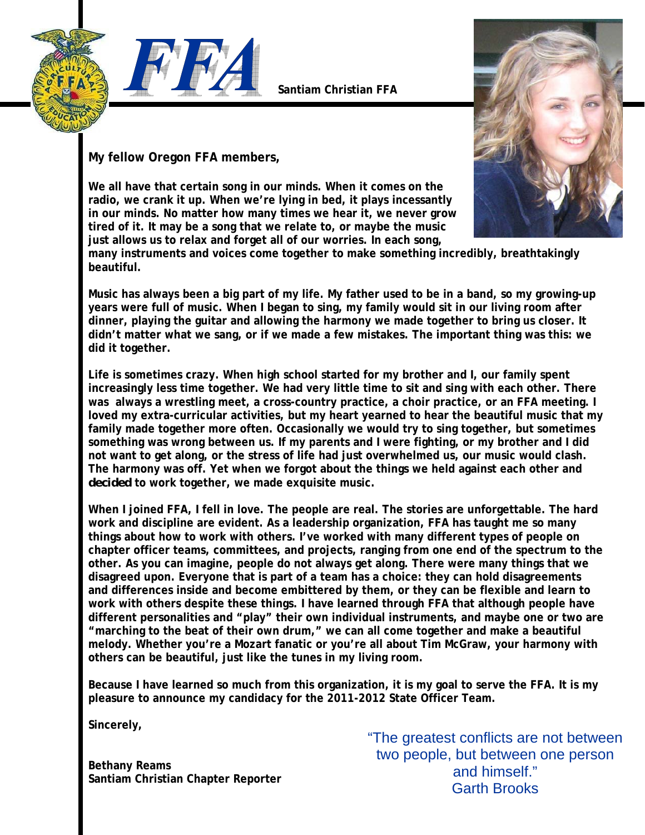



**Santiam Christian FFA** 





**My fellow Oregon FFA members,** 

**We all have that certain song in our minds. When it comes on the radio, we crank it up. When we're lying in bed, it plays incessantly in our minds. No matter how many times we hear it, we never grow tired of it. It may be a song that we relate to, or maybe the music just allows us to relax and forget all of our worries. In each song,** 

**many instruments and voices come together to make something incredibly, breathtakingly beautiful.** 

**Music has always been a big part of my life. My father used to be in a band, so my growing-up years were full of music. When I began to sing, my family would sit in our living room after dinner, playing the guitar and allowing the harmony we made together to bring us closer. It didn't matter what we sang, or if we made a few mistakes. The important thing was this: we did it together.** 

**Life is sometimes crazy. When high school started for my brother and I, our family spent increasingly less time together. We had very little time to sit and sing with each other. There was always a wrestling meet, a cross-country practice, a choir practice, or an FFA meeting. I loved my extra-curricular activities, but my heart yearned to hear the beautiful music that my family made together more often. Occasionally we would try to sing together, but sometimes something was wrong between us. If my parents and I were fighting, or my brother and I did not want to get along, or the stress of life had just overwhelmed us, our music would clash. The harmony was off. Yet when we forgot about the things we held against each other and**  *decided* **to work together, we made exquisite music.** 

**When I joined FFA, I fell in love. The people are real. The stories are unforgettable. The hard work and discipline are evident. As a leadership organization, FFA has taught me so many things about how to work with others. I've worked with many different types of people on chapter officer teams, committees, and projects, ranging from one end of the spectrum to the other. As you can imagine, people do not always get along. There were many things that we disagreed upon. Everyone that is part of a team has a choice: they can hold disagreements and differences inside and become embittered by them, or they can be flexible and learn to work with others despite these things. I have learned through FFA that although people have different personalities and "play" their own individual instruments, and maybe one or two are "marching to the beat of their own drum," we can all come together and make a beautiful melody. Whether you're a Mozart fanatic or you're all about Tim McGraw, your harmony with others can be beautiful, just like the tunes in my living room.** 

**Because I have learned so much from this organization, it is my goal to serve the FFA. It is my pleasure to announce my candidacy for the 2011-2012 State Officer Team.** 

**Sincerely,** 

**Bethany Reams Santiam Christian Chapter Reporter**  "The greatest conflicts are not between two people, but between one person and himself." Garth Brooks